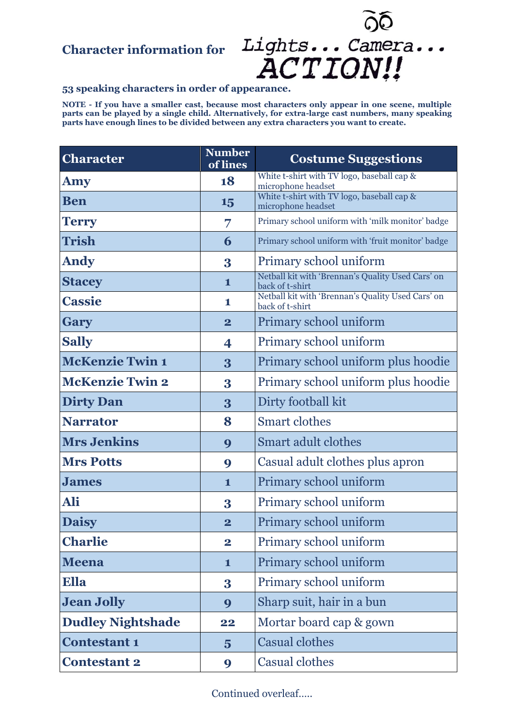## **Character information for**



## **53 speaking characters in order of appearance.**

**NOTE - If you have a smaller cast, because most characters only appear in one scene, multiple parts can be played by a single child. Alternatively, for extra-large cast numbers, many speaking parts have enough lines to be divided between any extra characters you want to create.**

| <b>Character</b>         | <b>Number</b><br>of lines | <b>Costume Suggestions</b>                                           |
|--------------------------|---------------------------|----------------------------------------------------------------------|
| Amy                      | 18                        | White t-shirt with TV logo, baseball cap &<br>microphone headset     |
| <b>Ben</b>               | 15                        | White t-shirt with TV logo, baseball cap &<br>microphone headset     |
| <b>Terry</b>             | 7                         | Primary school uniform with 'milk monitor' badge                     |
| <b>Trish</b>             | 6                         | Primary school uniform with 'fruit monitor' badge                    |
| <b>Andy</b>              | 3                         | Primary school uniform                                               |
| <b>Stacey</b>            | 1                         | Netball kit with 'Brennan's Quality Used Cars' on<br>back of t-shirt |
| <b>Cassie</b>            | 1                         | Netball kit with 'Brennan's Quality Used Cars' on<br>back of t-shirt |
| Gary                     | $\overline{\mathbf{2}}$   | Primary school uniform                                               |
| <b>Sally</b>             | 4                         | Primary school uniform                                               |
| <b>McKenzie Twin 1</b>   | 3                         | Primary school uniform plus hoodie                                   |
| <b>McKenzie Twin 2</b>   | 3                         | Primary school uniform plus hoodie                                   |
| <b>Dirty Dan</b>         | 3                         | Dirty football kit                                                   |
| <b>Narrator</b>          | 8                         | <b>Smart clothes</b>                                                 |
| <b>Mrs Jenkins</b>       | 9                         | <b>Smart adult clothes</b>                                           |
| <b>Mrs Potts</b>         | 9                         | Casual adult clothes plus apron                                      |
| <b>James</b>             | $\mathbf{1}$              | Primary school uniform                                               |
| Ali                      | 3                         | Primary school uniform                                               |
| <b>Daisy</b>             | $\overline{\mathbf{2}}$   | Primary school uniform                                               |
| <b>Charlie</b>           | $\overline{\mathbf{2}}$   | Primary school uniform                                               |
| <b>Meena</b>             | $\mathbf{1}$              | Primary school uniform                                               |
| Ella                     | 3                         | Primary school uniform                                               |
| <b>Jean Jolly</b>        | 9                         | Sharp suit, hair in a bun                                            |
| <b>Dudley Nightshade</b> | 22                        | Mortar board cap & gown                                              |
| <b>Contestant 1</b>      | $\overline{5}$            | <b>Casual clothes</b>                                                |
| <b>Contestant 2</b>      | 9                         | <b>Casual clothes</b>                                                |

Continued overleaf…..